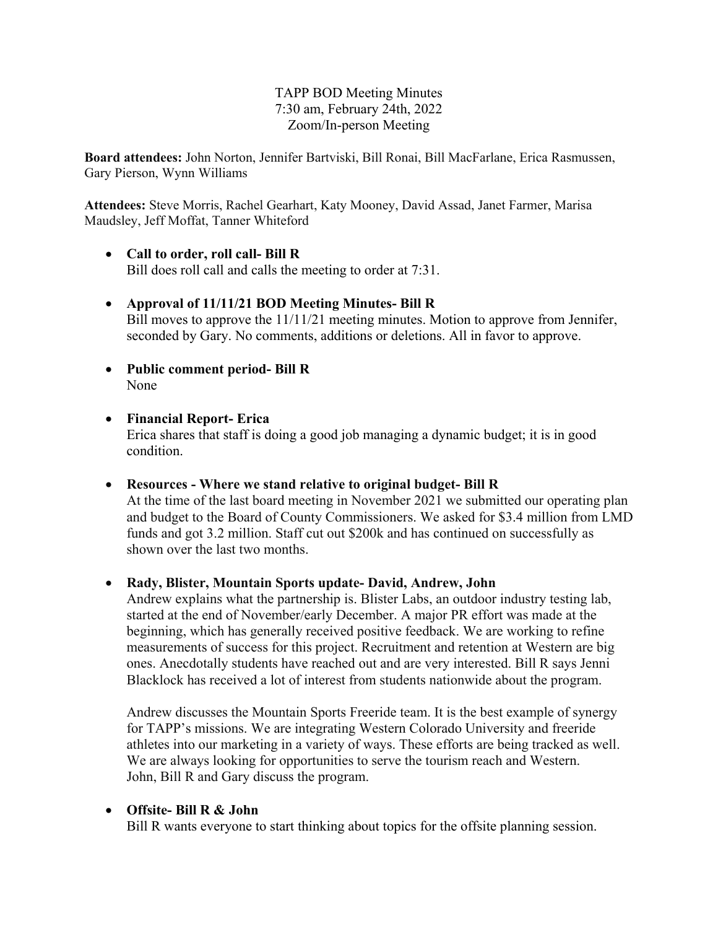## TAPP BOD Meeting Minutes 7:30 am, February 24th, 2022 Zoom/In-person Meeting

**Board attendees:** John Norton, Jennifer Bartviski, Bill Ronai, Bill MacFarlane, Erica Rasmussen, Gary Pierson, Wynn Williams

**Attendees:** Steve Morris, Rachel Gearhart, Katy Mooney, David Assad, Janet Farmer, Marisa Maudsley, Jeff Moffat, Tanner Whiteford

- **Call to order, roll call- Bill R** Bill does roll call and calls the meeting to order at 7:31.
- **Approval of 11/11/21 BOD Meeting Minutes- Bill R** Bill moves to approve the 11/11/21 meeting minutes. Motion to approve from Jennifer, seconded by Gary. No comments, additions or deletions. All in favor to approve.
- **Public comment period- Bill R** None
- **Financial Report- Erica** Erica shares that staff is doing a good job managing a dynamic budget; it is in good condition.

• **Resources - Where we stand relative to original budget- Bill R** At the time of the last board meeting in November 2021 we submitted our operating plan and budget to the Board of County Commissioners. We asked for \$3.4 million from LMD funds and got 3.2 million. Staff cut out \$200k and has continued on successfully as shown over the last two months.

• **Rady, Blister, Mountain Sports update- David, Andrew, John** 

Andrew explains what the partnership is. Blister Labs, an outdoor industry testing lab, started at the end of November/early December. A major PR effort was made at the beginning, which has generally received positive feedback. We are working to refine measurements of success for this project. Recruitment and retention at Western are big ones. Anecdotally students have reached out and are very interested. Bill R says Jenni Blacklock has received a lot of interest from students nationwide about the program.

Andrew discusses the Mountain Sports Freeride team. It is the best example of synergy for TAPP's missions. We are integrating Western Colorado University and freeride athletes into our marketing in a variety of ways. These efforts are being tracked as well. We are always looking for opportunities to serve the tourism reach and Western. John, Bill R and Gary discuss the program.

# • **Offsite- Bill R & John**

Bill R wants everyone to start thinking about topics for the offsite planning session.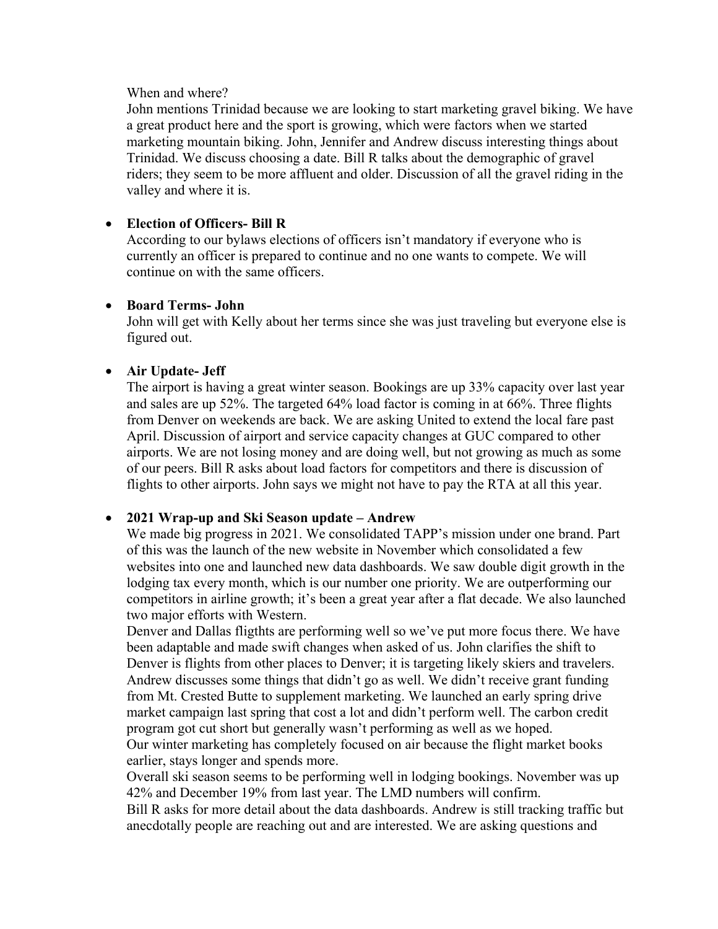#### When and where?

John mentions Trinidad because we are looking to start marketing gravel biking. We have a great product here and the sport is growing, which were factors when we started marketing mountain biking. John, Jennifer and Andrew discuss interesting things about Trinidad. We discuss choosing a date. Bill R talks about the demographic of gravel riders; they seem to be more affluent and older. Discussion of all the gravel riding in the valley and where it is.

## • **Election of Officers- Bill R**

According to our bylaws elections of officers isn't mandatory if everyone who is currently an officer is prepared to continue and no one wants to compete. We will continue on with the same officers.

#### • **Board Terms- John**

John will get with Kelly about her terms since she was just traveling but everyone else is figured out.

#### • **Air Update- Jeff**

The airport is having a great winter season. Bookings are up 33% capacity over last year and sales are up 52%. The targeted 64% load factor is coming in at 66%. Three flights from Denver on weekends are back. We are asking United to extend the local fare past April. Discussion of airport and service capacity changes at GUC compared to other airports. We are not losing money and are doing well, but not growing as much as some of our peers. Bill R asks about load factors for competitors and there is discussion of flights to other airports. John says we might not have to pay the RTA at all this year.

#### • **2021 Wrap-up and Ski Season update – Andrew**

We made big progress in 2021. We consolidated TAPP's mission under one brand. Part of this was the launch of the new website in November which consolidated a few websites into one and launched new data dashboards. We saw double digit growth in the lodging tax every month, which is our number one priority. We are outperforming our competitors in airline growth; it's been a great year after a flat decade. We also launched two major efforts with Western.

Denver and Dallas fligthts are performing well so we've put more focus there. We have been adaptable and made swift changes when asked of us. John clarifies the shift to Denver is flights from other places to Denver; it is targeting likely skiers and travelers. Andrew discusses some things that didn't go as well. We didn't receive grant funding from Mt. Crested Butte to supplement marketing. We launched an early spring drive market campaign last spring that cost a lot and didn't perform well. The carbon credit program got cut short but generally wasn't performing as well as we hoped.

Our winter marketing has completely focused on air because the flight market books earlier, stays longer and spends more.

Overall ski season seems to be performing well in lodging bookings. November was up 42% and December 19% from last year. The LMD numbers will confirm.

Bill R asks for more detail about the data dashboards. Andrew is still tracking traffic but anecdotally people are reaching out and are interested. We are asking questions and